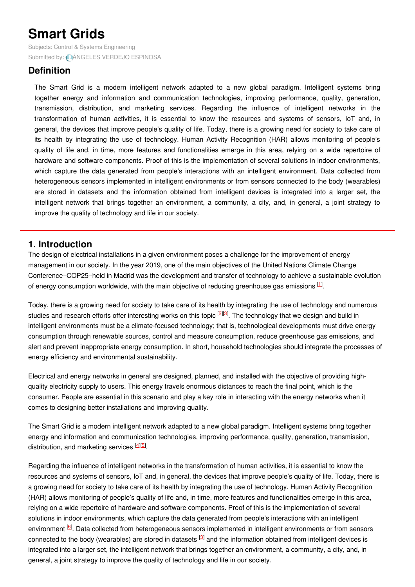# **Smart Grids**

Subjects: Control & Systems [Engineering](https://encyclopedia.pub/item/subject/84) Submitted by: **AANGELES VERDEJO [ESPINOSA](https://sciprofiles.com/profile/875051)** 

# **Definition**

The Smart Grid is a modern intelligent network adapted to a new global paradigm. Intelligent systems bring together energy and information and communication technologies, improving performance, quality, generation, transmission, distribution, and marketing services. Regarding the influence of intelligent networks in the transformation of human activities, it is essential to know the resources and systems of sensors, IoT and, in general, the devices that improve people's quality of life. Today, there is a growing need for society to take care of its health by integrating the use of technology. Human Activity Recognition (HAR) allows monitoring of people's quality of life and, in time, more features and functionalities emerge in this area, relying on a wide repertoire of hardware and software components. Proof of this is the implementation of several solutions in indoor environments, which capture the data generated from people's interactions with an intelligent environment. Data collected from heterogeneous sensors implemented in intelligent environments or from sensors connected to the body (wearables) are stored in datasets and the information obtained from intelligent devices is integrated into a larger set, the intelligent network that brings together an environment, a community, a city, and, in general, a joint strategy to improve the quality of technology and life in our society.

## **1. Introduction**

The design of electrical installations in a given environment poses a challenge for the improvement of energy management in our society. In the year 2019, one of the main objectives of the United Nations Climate Change Conference–COP25–held in Madrid was the development and transfer of technology to achieve a sustainable evolution of energy consumption worldwide, with the main objective of reducing greenhouse gas emissions  $[1]$  $[1]$ .

Today, there is a growing need for society to take care of its health by integrating the use of technology and numerous studies and research efforts offer interesting works on this topic <sup>[[2](#page-6-1)][\[3](#page-6-2)]</sup>. The technology that we design and build in intelligent environments must be a climate-focused technology; that is, technological developments must drive energy consumption through renewable sources, control and measure consumption, reduce greenhouse gas emissions, and alert and prevent inappropriate energy consumption. In short, household technologies should integrate the processes of energy efficiency and environmental sustainability.

Electrical and energy networks in general are designed, planned, and installed with the objective of providing highquality electricity supply to users. This energy travels enormous distances to reach the final point, which is the consumer. People are essential in this scenario and play a key role in interacting with the energy networks when it comes to designing better installations and improving quality.

The Smart Grid is a modern intelligent network adapted to a new global paradigm. Intelligent systems bring together energy and information and communication technologies, improving performance, quality, generation, transmission, distribution, and marketing services [\[4](#page-6-3)][\[5](#page-6-4)].

Regarding the influence of intelligent networks in the transformation of human activities, it is essential to know the resources and systems of sensors, IoT and, in general, the devices that improve people's quality of life. Today, there is a growing need for society to take care of its health by integrating the use of technology. Human Activity Recognition (HAR) allows monitoring of people's quality of life and, in time, more features and functionalities emerge in this area, relying on a wide repertoire of hardware and software components. Proof of this is the implementation of several solutions in indoor environments, which capture the data generated from people's interactions with an intelligent environment <sup>[[6](#page-6-5)]</sup>. Data collected from heterogeneous sensors implemented in intelligent environments or from sensors connected to the body (wearables) are stored in datasets <sup>[\[3](#page-6-2)]</sup> and the information obtained from intelligent devices is integrated into a larger set, the intelligent network that brings together an environment, a community, a city, and, in general, a joint strategy to improve the quality of technology and life in our society.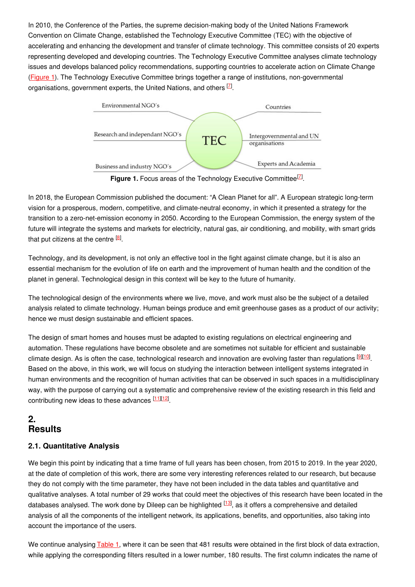In 2010, the Conference of the Parties, the supreme decision-making body of the United Nations Framework Convention on Climate Change, established the Technology Executive Committee (TEC) with the objective of accelerating and enhancing the development and transfer of climate technology. This committee consists of 20 experts representing developed and developing countries. The Technology Executive Committee analyses climate technology issues and develops balanced policy recommendations, supporting countries to accelerate action on Climate Change ([Figure](https://www.mdpi.com/2071-1050/12/20/8662/htm#fig_body_display_sustainability-12-08662-f001) 1). The Technology Executive Committee brings together a range of institutions, non-governmental organisations, government experts, the United Nations, and others  $Z$ .



Figure 1. Focus areas of the Technology Executive Committee<sup>[Z]</sup>.

In 2018, the European Commission published the document: "A Clean Planet for all". A European strategic long-term vision for a prosperous, modern, competitive, and climate-neutral economy, in which it presented a strategy for the transition to a zero-net-emission economy in 2050. According to the European Commission, the energy system of the future will integrate the systems and markets for electricity, natural gas, air conditioning, and mobility, with smart grids that put citizens at the centre  $^{[8]}$  $^{[8]}$  $^{[8]}$ .

Technology, and its development, is not only an effective tool in the fight against climate change, but it is also an essential mechanism for the evolution of life on earth and the improvement of human health and the condition of the planet in general. Technological design in this context will be key to the future of humanity.

The technological design of the environments where we live, move, and work must also be the subject of a detailed analysis related to climate technology. Human beings produce and emit greenhouse gases as a product of our activity; hence we must design sustainable and efficient spaces.

The design of smart homes and houses must be adapted to existing regulations on electrical engineering and automation. These regulations have become obsolete and are sometimes not suitable for efficient and sustainable climate design. As is often the case, technological research and innovation are evolving faster than regulations <sup>[\[9](#page-6-8)][\[10](#page-6-9)]</sup>. Based on the above, in this work, we will focus on studying the interaction between intelligent systems integrated in human environments and the recognition of human activities that can be observed in such spaces in a multidisciplinary way, with the purpose of carrying out a systematic and comprehensive review of the existing research in this field and contributing new ideas to these advances [\[11](#page-6-10)][\[12](#page-6-11)].

# **2. Results**

## **2.1. Quantitative Analysis**

We begin this point by indicating that a time frame of full years has been chosen, from 2015 to 2019. In the year 2020, at the date of completion of this work, there are some very interesting references related to our research, but because they do not comply with the time parameter, they have not been included in the data tables and quantitative and qualitative analyses. A total number of 29 works that could meet the objectives of this research have been located in the databases analysed. The work done by Dileep can be highlighted <sup>[\[13](#page-6-12)]</sup>, as it offers a comprehensive and detailed analysis of all the components of the intelligent network, its applications, benefits, and opportunities, also taking into account the importance of the users.

We continue analysing [Table](https://www.mdpi.com/2071-1050/12/20/8662/htm#table_body_display_sustainability-12-08662-t003) 1, where it can be seen that 481 results were obtained in the first block of data extraction, while applying the corresponding filters resulted in a lower number, 180 results. The first column indicates the name of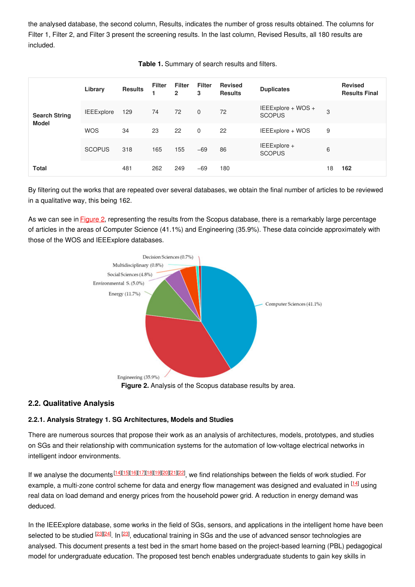the analysed database, the second column, Results, indicates the number of gross results obtained. The columns for Filter 1, Filter 2, and Filter 3 present the screening results. In the last column, Revised Results, all 180 results are included.

| <b>Search String</b><br><b>Model</b> | Library           | <b>Results</b> | <b>Filter</b> | Filter<br>$\overline{2}$ | Filter<br>3  | Revised<br><b>Results</b> | <b>Duplicates</b>                   |    | <b>Revised</b><br><b>Results Final</b> |
|--------------------------------------|-------------------|----------------|---------------|--------------------------|--------------|---------------------------|-------------------------------------|----|----------------------------------------|
|                                      | <b>IEEExplore</b> | 129            | 74            | 72                       | $\mathbf{0}$ | 72                        | IEEExplore + WOS +<br><b>SCOPUS</b> | 3  |                                        |
|                                      | <b>WOS</b>        | 34             | 23            | 22                       | $\mathbf 0$  | 22                        | IEEExplore + WOS                    | 9  |                                        |
|                                      | <b>SCOPUS</b>     | 318            | 165           | 155                      | $-69$        | 86                        | IEEExplore +<br><b>SCOPUS</b>       | 6  |                                        |
| <b>Total</b>                         |                   | 481            | 262           | 249                      | $-69$        | 180                       |                                     | 18 | 162                                    |

**Table 1.** Summary of search results and filters.

By filtering out the works that are repeated over several databases, we obtain the final number of articles to be reviewed in a qualitative way, this being 162.

As we can see in [Figure](https://www.mdpi.com/2071-1050/12/20/8662/htm#fig_body_display_sustainability-12-08662-f003) 2, representing the results from the Scopus database, there is a remarkably large percentage of articles in the areas of Computer Science (41.1%) and Engineering (35.9%). These data coincide approximately with those of the WOS and IEEExplore databases.



### **2.2. Qualitative Analysis**

#### **2.2.1. Analysis Strategy 1. SG Architectures, Models and Studies**

There are numerous sources that propose their work as an analysis of architectures, models, prototypes, and studies on SGs and their relationship with communication systems for the automation of low-voltage electrical networks in intelligent indoor environments.

If we analyse the documents <sup>[\[14](#page-6-13)][\[15](#page-6-14)][[16](#page-6-15)][\[17](#page-6-16)][\[18](#page-6-17)][\[19](#page-6-18)][\[20](#page-6-19)][\[21](#page-7-0)][\[22](#page-7-1)], we find relationships between the fields of work studied. For</sup> example, a multi-zone control scheme for data and energy flow management was designed and evaluated in <sup>[\[14](#page-6-13)]</sup> using real data on load demand and energy prices from the household power grid. A reduction in energy demand was deduced.

In the IEEExplore database, some works in the field of SGs, sensors, and applications in the intelligent home have been selected to be studied <sup>[\[23](#page-7-2)][\[24](#page-7-3)]</sup>. In <sup>[23]</sup>, educational training in SGs and the use of advanced sensor technologies are analysed. This document presents a test bed in the smart home based on the project-based learning (PBL) pedagogical model for undergraduate education. The proposed test bench enables undergraduate students to gain key skills in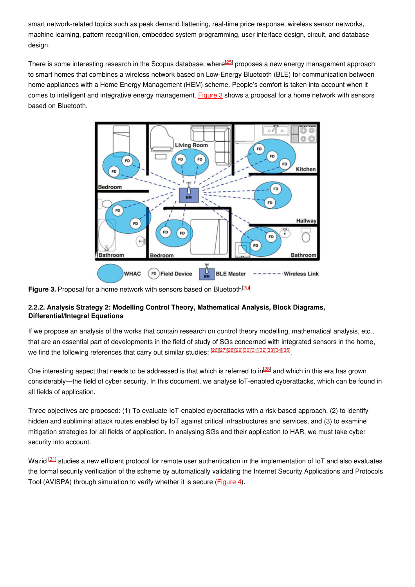smart network-related topics such as peak demand flattening, real-time price response, wireless sensor networks, machine learning, pattern recognition, embedded system programming, user interface design, circuit, and database design.

There is some interesting research in the Scopus database, where<sup>[\[25](#page-7-4)]</sup> proposes a new energy management approach to smart homes that combines a wireless network based on Low-Energy Bluetooth (BLE) for communication between home appliances with a Home Energy Management (HEM) scheme. People's comfort is taken into account when it comes to intelligent and integrative energy management. [Figure](https://www.mdpi.com/2071-1050/12/20/8662/htm#fig_body_display_sustainability-12-08662-f006) 3 shows a proposal for a home network with sensors based on Bluetooth.



Figure 3. Proposal for a home network with sensors based on Bluetooth<sup>[\[25](#page-7-4)]</sup>.

## **2.2.2. Analysis Strategy 2: Modelling Control Theory, Mathematical Analysis, Block Diagrams, Differential/Integral Equations**

If we propose an analysis of the works that contain research on control theory modelling, mathematical analysis, etc., that are an essential part of developments in the field of study of SGs concerned with integrated sensors in the home, we find the following references that carry out similar studies: [\[26](#page-7-5)][\[27](#page-7-6)][\[28](#page-7-7)][\[29](#page-7-8)][[30](#page-7-9)][\[31](#page-7-10)][\[32](#page-7-11)][\[33](#page-7-12)][\[34](#page-7-13)][\[35](#page-7-14)].

One interesting aspect that needs to be addressed is that which is referred to in<sup>[\[28](#page-7-7)]</sup> and which in this era has grown considerably—the field of cyber security. In this document, we analyse IoT-enabled cyberattacks, which can be found in all fields of application.

Three objectives are proposed: (1) To evaluate IoT-enabled cyberattacks with a risk-based approach, (2) to identify hidden and subliminal attack routes enabled by IoT against critical infrastructures and services, and (3) to examine mitigation strategies for all fields of application. In analysing SGs and their application to HAR, we must take cyber security into account.

Wazid <sup>[\[31](#page-7-10)]</sup> studies a new efficient protocol for remote user authentication in the implementation of IoT and also evaluates the formal security verification of the scheme by automatically validating the Internet Security Applications and Protocols Tool (AVISPA) through simulation to verify whether it is secure [\(Figure](https://www.mdpi.com/2071-1050/12/20/8662/htm#fig_body_display_sustainability-12-08662-f007) 4).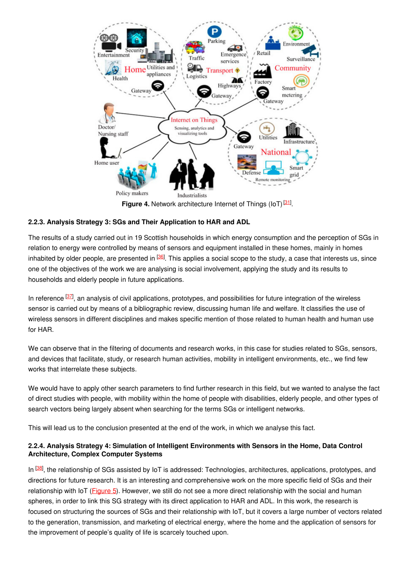

Figure 4. Network architecture Internet of Things (IoT)<sup>[\[31\]](#page-7-10)</sup>.

#### **2.2.3. Analysis Strategy 3: SGs and Their Application to HAR and ADL**

The results of a study carried out in 19 Scottish households in which energy consumption and the perception of SGs in relation to energy were controlled by means of sensors and equipment installed in these homes, mainly in homes inhabited by older people, are presented in <sup>[\[36](#page-7-15)]</sup>. This applies a social scope to the study, a case that interests us, since one of the objectives of the work we are analysing is social involvement, applying the study and its results to households and elderly people in future applications.

In reference <sup>[\[37](#page-7-16)]</sup>, an analysis of civil applications, prototypes, and possibilities for future integration of the wireless sensor is carried out by means of a bibliographic review, discussing human life and welfare. It classifies the use of wireless sensors in different disciplines and makes specific mention of those related to human health and human use for HAR.

We can observe that in the filtering of documents and research works, in this case for studies related to SGs, sensors, and devices that facilitate, study, or research human activities, mobility in intelligent environments, etc., we find few works that interrelate these subjects.

We would have to apply other search parameters to find further research in this field, but we wanted to analyse the fact of direct studies with people, with mobility within the home of people with disabilities, elderly people, and other types of search vectors being largely absent when searching for the terms SGs or intelligent networks.

This will lead us to the conclusion presented at the end of the work, in which we analyse this fact.

#### **2.2.4. Analysis Strategy 4: Simulation of Intelligent Environments with Sensors in the Home, Data Control Architecture, Complex Computer Systems**

In <sup>[\[38](#page-7-17)]</sup>, the relationship of SGs assisted by IoT is addressed: Technologies, architectures, applications, prototypes, and directions for future research. It is an interesting and comprehensive work on the more specific field of SGs and their relationship with IoT [\(Figure](https://www.mdpi.com/2071-1050/12/20/8662/htm#fig_body_display_sustainability-12-08662-f008) 5). However, we still do not see a more direct relationship with the social and human spheres, in order to link this SG strategy with its direct application to HAR and ADL. In this work, the research is focused on structuring the sources of SGs and their relationship with IoT, but it covers a large number of vectors related to the generation, transmission, and marketing of electrical energy, where the home and the application of sensors for the improvement of people's quality of life is scarcely touched upon.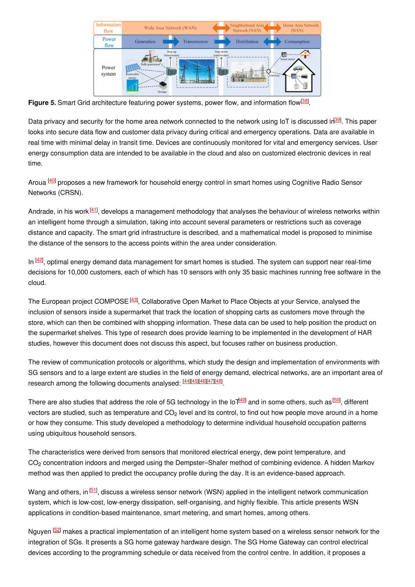

Figure 5. Smart Grid architecture featuring power systems, power flow, and information flow<sup>[\[38](#page-7-17)]</sup>.

Data privacy and security for the home area network connected to the network using IoT is discussed ir<sup>[\[39](#page-7-18)]</sup>. This paper looks into secure data flow and customer data privacy during critical and emergency operations. Data are available in real time with minimal delay in transit time. Devices are continuously monitored for vital and emergency services. User energy consumption data are intended to be available in the cloud and also on customized electronic devices in real time.

Aroua <sup>[\[40](#page-7-19)]</sup> proposes a new framework for household energy control in smart homes using Cognitive Radio Sensor Networks (CRSN).

Andrade, in his work <sup>[\[41](#page-7-20)]</sup>, develops a management methodology that analyses the behaviour of wireless networks within an intelligent home through a simulation, taking into account several parameters or restrictions such as coverage distance and capacity. The smart grid infrastructure is described, and a mathematical model is proposed to minimise the distance of the sensors to the access points within the area under consideration.

In <sup>[\[42](#page-7-21)]</sup>, optimal energy demand data management for smart homes is studied. The system can support near real-time decisions for 10,000 customers, each of which has 10 sensors with only 35 basic machines running free software in the cloud.

The European project COMPOSE<sup>[\[43](#page-7-22)]</sup>, Collaborative Open Market to Place Objects at your Service, analysed the inclusion of sensors inside a supermarket that track the location of shopping carts as customers move through the store, which can then be combined with shopping information. These data can be used to help position the product on the supermarket shelves. This type of research does provide learning to be implemented in the development of HAR studies, however this document does not discuss this aspect, but focuses rather on business production.

The review of communication protocols or algorithms, which study the design and implementation of environments with SG sensors and to a large extent are studies in the field of energy demand, electrical networks, are an important area of research among the following documents analysed: [\[44](#page-7-23)][\[45](#page-7-24)][\[46](#page-7-25)][\[47](#page-7-26)][\[48](#page-7-27)].

There are also studies that address the role of 5G technology in the IoT<sup>[[49](#page-7-28)]</sup> and in some others, such as<sup>[\[50](#page-8-0)]</sup>, different vectors are studied, such as temperature and CO<sub>2</sub> level and its control, to find out how people move around in a home or how they consume. This study developed a methodology to determine individual household occupation patterns using ubiquitous household sensors.

The characteristics were derived from sensors that monitored electrical energy, dew point temperature, and  $CO<sub>2</sub>$  concentration indoors and merged using the Dempster–Shafer method of combining evidence. A hidden Markov method was then applied to predict the occupancy profile during the day. It is an evidence-based approach.

Wang and others, in <sup>[\[51](#page-8-1)]</sup>, discuss a wireless sensor network (WSN) applied in the intelligent network communication system, which is low-cost, low-energy dissipation, self-organising, and highly flexible. This article presents WSN applications in condition-based maintenance, smart metering, and smart homes, among others.

Nguyen <sup>[\[52](#page-8-2)]</sup> makes a practical implementation of an intelligent home system based on a wireless sensor network for the integration of SGs. It presents a SG home gateway hardware design. The SG Home Gateway can control electrical devices according to the programming schedule or data received from the control centre. In addition, it proposes a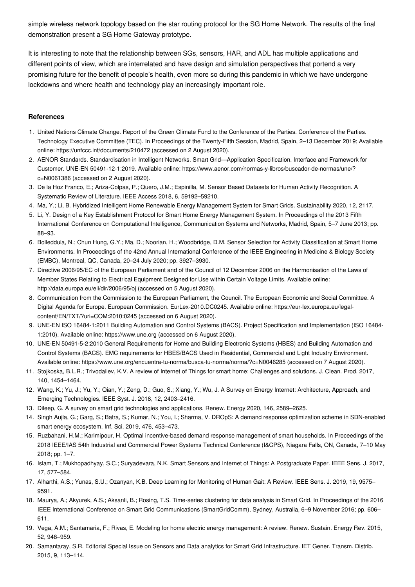simple wireless network topology based on the star routing protocol for the SG Home Network. The results of the final demonstration present a SG Home Gateway prototype.

It is interesting to note that the relationship between SGs, sensors, HAR, and ADL has multiple applications and different points of view, which are interrelated and have design and simulation perspectives that portend a very promising future for the benefit of people's health, even more so during this pandemic in which we have undergone lockdowns and where health and technology play an increasingly important role.

#### **References**

- <span id="page-6-0"></span>1. United Nations Climate Change. Report of the Green Climate Fund to the Conference of the Parties. Conference of the Parties. Technology Executive Committee (TEC). In Proceedings of the Twenty-Fifth Session, Madrid, Spain, 2–13 December 2019; Available online: https://unfccc.int/documents/210472 (accessed on 2 August 2020).
- <span id="page-6-1"></span>2. AENOR Standards. Standardisation in Intelligent Networks. Smart Grid—Application Specification. Interface and Framework for Customer. UNE-EN 50491-12-1:2019. Available online: https://www.aenor.com/normas-y-libros/buscador-de-normas/une/? c=N0061386 (accessed on 2 August 2020).
- <span id="page-6-2"></span>3. De la Hoz Franco, E.; Ariza-Colpas, P.; Quero, J.M.; Espinilla, M. Sensor Based Datasets for Human Activity Recognition. A Systematic Review of Literature. IEEE Access 2018, 6, 59192–59210.
- <span id="page-6-3"></span>4. Ma, Y.; Li, B. Hybridized Intelligent Home Renewable Energy Management System for Smart Grids. Sustainability 2020, 12, 2117.
- <span id="page-6-4"></span>5. Li, Y. Design of a Key Establishment Protocol for Smart Home Energy Management System. In Proceedings of the 2013 Fifth International Conference on Computational Intelligence, Communication Systems and Networks, Madrid, Spain, 5–7 June 2013; pp. 88–93.
- <span id="page-6-5"></span>6. Bolleddula, N.; Chun Hung, G.Y.; Ma, D.; Noorian, H.; Woodbridge, D.M. Sensor Selection for Activity Classification at Smart Home Environments. In Proceedings of the 42nd Annual International Conference of the IEEE Engineering in Medicine & Biology Society (EMBC), Montreal, QC, Canada, 20–24 July 2020; pp. 3927–3930.
- <span id="page-6-6"></span>7. Directive 2006/95/EC of the European Parliament and of the Council of 12 December 2006 on the Harmonisation of the Laws of Member States Relating to Electrical Equipment Designed for Use within Certain Voltage Limits. Available online: http://data.europa.eu/eli/dir/2006/95/oj (accessed on 5 August 2020).
- <span id="page-6-7"></span>8. Communication from the Commission to the European Parliament, the Council. The European Economic and Social Committee. A Digital Agenda for Europe. European Commission. EurLex-2010.DC0245. Available online: https://eur-lex.europa.eu/legalcontent/EN/TXT/?uri=COM:2010:0245 (accessed on 6 August 2020).
- <span id="page-6-8"></span>9. UNE-EN ISO 16484-1:2011 Building Automation and Control Systems (BACS). Project Specification and Implementation (ISO 16484- 1:2010). Available online: https://www.une.org (accessed on 6 August 2020).
- <span id="page-6-9"></span>10. UNE-EN 50491-5-2:2010 General Requirements for Home and Building Electronic Systems (HBES) and Building Automation and Control Systems (BACS). EMC requirements for HBES/BACS Used in Residential, Commercial and Light Industry Environment. Available online: https://www.une.org/encuentra-tu-norma/busca-tu-norma/norma/?c=N0046285 (accessed on 7 August 2020).
- <span id="page-6-10"></span>11. Stojkoska, B.L.R.; Trivodaliev, K.V. A review of Internet of Things for smart home: Challenges and solutions. J. Clean. Prod. 2017, 140, 1454–1464.
- <span id="page-6-11"></span>12. Wang, K.; Yu, J.; Yu, Y.; Qian, Y.; Zeng, D.; Guo, S.; Xiang, Y.; Wu, J. A Survey on Energy Internet: Architecture, Approach, and Emerging Technologies. IEEE Syst. J. 2018, 12, 2403–2416.
- <span id="page-6-12"></span>13. Dileep, G. A survey on smart grid technologies and applications. Renew. Energy 2020, 146, 2589–2625.
- <span id="page-6-13"></span>14. Singh Aujla, G.; Garg, S.; Batra, S.; Kumar, N.; You, I.; Sharma, V. DROpS: A demand response optimization scheme in SDN-enabled smart energy ecosystem. Inf. Sci. 2019, 476, 453–473.
- <span id="page-6-14"></span>15. Ruzbahani, H.M.; Karimipour, H. Optimal incentive-based demand response management of smart households. In Proceedings of the 2018 IEEE/IAS 54th Industrial and Commercial Power Systems Technical Conference (I&CPS), Niagara Falls, ON, Canada, 7–10 May 2018; pp. 1–7.
- <span id="page-6-15"></span>16. Islam, T.; Mukhopadhyay, S.C.; Suryadevara, N.K. Smart Sensors and Internet of Things: A Postgraduate Paper. IEEE Sens. J. 2017, 17, 577–584.
- <span id="page-6-16"></span>17. Alharthi, A.S.; Yunas, S.U.; Ozanyan, K.B. Deep Learning for Monitoring of Human Gait: A Review. IEEE Sens. J. 2019, 19, 9575– 9591.
- <span id="page-6-17"></span>18. Maurya, A.; Akyurek, A.S.; Aksanli, B.; Rosing, T.S. Time-series clustering for data analysis in Smart Grid. In Proceedings of the 2016 IEEE International Conference on Smart Grid Communications (SmartGridComm), Sydney, Australia, 6–9 November 2016; pp. 606– 611.
- <span id="page-6-18"></span>19. Vega, A.M.; Santamaria, F.; Rivas, E. Modeling for home electric energy management: A review. Renew. Sustain. Energy Rev. 2015, 52, 948–959.
- <span id="page-6-19"></span>20. Samantaray, S.R. Editorial Special Issue on Sensors and Data analytics for Smart Grid Infrastructure. IET Gener. Transm. Distrib. 2015, 9, 113–114.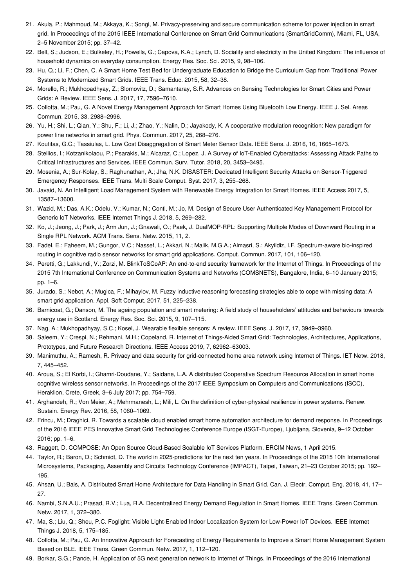- <span id="page-7-0"></span>21. Akula, P.; Mahmoud, M.; Akkaya, K.; Songi, M. Privacy-preserving and secure communication scheme for power injection in smart grid. In Proceedings of the 2015 IEEE International Conference on Smart Grid Communications (SmartGridComm), Miami, FL, USA, 2–5 November 2015; pp. 37–42.
- <span id="page-7-1"></span>22. Bell, S.; Judson, E.; Bulkeley, H.; Powells, G.; Capova, K.A.; Lynch, D. Sociality and electricity in the United Kingdom: The influence of household dynamics on everyday consumption. Energy Res. Soc. Sci. 2015, 9, 98–106.
- <span id="page-7-2"></span>23. Hu, Q.; Li, F.; Chen, C. A Smart Home Test Bed for Undergraduate Education to Bridge the Curriculum Gap from Traditional Power Systems to Modernized Smart Grids. IEEE Trans. Educ. 2015, 58, 32–38.
- <span id="page-7-3"></span>24. Morello, R.; Mukhopadhyay, Z.; Slomovitz, D.; Samantaray, S.R. Advances on Sensing Technologies for Smart Cities and Power Grids: A Review. IEEE Sens. J. 2017, 17, 7596–7610.
- <span id="page-7-4"></span>25. Collotta, M.; Pau, G. A Novel Energy Management Approach for Smart Homes Using Bluetooth Low Energy. IEEE J. Sel. Areas Commun. 2015, 33, 2988–2996.
- <span id="page-7-5"></span>26. Yu, H.; Shi, L.; Qian, Y.; Shu, F.; Li, J.; Zhao, Y.; Nalin, D.; Jayakody, K. A cooperative modulation recognition: New paradigm for power line networks in smart grid. Phys. Commun. 2017, 25, 268–276.
- <span id="page-7-6"></span>27. Koutitas, G.C.; Tassiulas, L. Low Cost Disaggregation of Smart Meter Sensor Data. IEEE Sens. J. 2016, 16, 1665–1673.
- <span id="page-7-7"></span>28. Stellios, I.; Kotzanikolaou, P.; Psarakis, M.; Alcaraz, C.; Lopez, J. A Survey of IoT-Enabled Cyberattacks: Assessing Attack Paths to Critical Infrastructures and Services. IEEE Commun. Surv. Tutor. 2018, 20, 3453–3495.
- <span id="page-7-8"></span>29. Mosenia, A.; Sur-Kolay, S.; Raghunathan, A.; Jha, N.K. DISASTER: Dedicated Intelligent Security Attacks on Sensor-Triggered Emergency Responses. IEEE Trans. Multi Scale Comput. Syst. 2017, 3, 255–268.
- <span id="page-7-9"></span>30. Javaid, N. An Intelligent Load Management System with Renewable Energy Integration for Smart Homes. IEEE Access 2017, 5, 13587–13600.
- <span id="page-7-10"></span>31. Wazid, M.; Das, A.K.; Odelu, V.; Kumar, N.; Conti, M.; Jo, M. Design of Secure User Authenticated Key Management Protocol for Generic IoT Networks. IEEE Internet Things J. 2018, 5, 269–282.
- <span id="page-7-11"></span>32. Ko, J.; Jeong, J.; Park, J.; Arm Jun, J.; Gnawali, O.; Paek, J. DualMOP-RPL: Supporting Multiple Modes of Downward Routing in a Single RPL Network. ACM Trans. Sens. Netw. 2015, 11, 2.
- <span id="page-7-12"></span>33. Fadel, E.; Faheem, M.; Gungor, V.C.; Nassef, L.; Akkari, N.; Malik, M.G.A.; Almasri, S.; Akyildiz, I.F. Spectrum-aware bio-inspired routing in cognitive radio sensor networks for smart grid applications. Comput. Commun. 2017, 101, 106–120.
- <span id="page-7-13"></span>34. Peretti, G.; Lakkundi, V.; Zorzi, M. BlinkToSCoAP: An end-to-end security framework for the Internet of Things. In Proceedings of the 2015 7th International Conference on Communication Systems and Networks (COMSNETS), Bangalore, India, 6–10 January 2015; pp. 1–6.
- <span id="page-7-14"></span>35. Jurado, S.; Nebot, A.; Mugica, F.; Mihaylov, M. Fuzzy inductive reasoning forecasting strategies able to cope with missing data: A smart grid application. Appl. Soft Comput. 2017, 51, 225–238.
- <span id="page-7-15"></span>36. Barnicoat, G.; Danson, M. The ageing population and smart metering: A field study of householders' attitudes and behaviours towards energy use in Scotland. Energy Res. Soc. Sci. 2015, 9, 107–115.
- <span id="page-7-16"></span>37. Nag, A.; Mukhopadhyay, S.C.; Kosel, J. Wearable flexible sensors: A review. IEEE Sens. J. 2017, 17, 3949–3960.
- <span id="page-7-17"></span>38. Saleem, Y.; Crespi, N.; Rehmani, M.H.; Copeland, R. Internet of Things-Aided Smart Grid: Technologies, Architectures, Applications, Prototypes, and Future Research Directions. IEEE Access 2019, 7, 62962–63003.
- <span id="page-7-18"></span>39. Manimuthu, A.; Ramesh, R. Privacy and data security for grid-connected home area network using Internet of Things. IET Netw. 2018, 7, 445–452.
- <span id="page-7-19"></span>40. Aroua, S.; El Korbi, I.; Ghamri-Doudane, Y.; Saidane, L.A. A distributed Cooperative Spectrum Resource Allocation in smart home cognitive wireless sensor networks. In Proceedings of the 2017 IEEE Symposium on Computers and Communications (ISCC), Heraklion, Crete, Greek, 3–6 July 2017; pp. 754–759.
- <span id="page-7-20"></span>41. Arghandeh, R.; Von Meier, A.; Mehrmanesh, L.; Mili, L. On the definition of cyber-physical resilience in power systems. Renew. Sustain. Energy Rev. 2016, 58, 1060–1069.
- <span id="page-7-21"></span>42. Frincu, M.; Draghici, R. Towards a scalable cloud enabled smart home automation architecture for demand response. In Proceedings of the 2016 IEEE PES Innovative Smart Grid Technologies Conference Europe (ISGT-Europe), Ljubljana, Slovenia, 9–12 October 2016; pp. 1–6.
- <span id="page-7-22"></span>43. Raggett, D. COMPOSE: An Open Source Cloud-Based Scalable IoT Services Platform. ERCIM News, 1 April 2015.
- <span id="page-7-23"></span>44. Taylor, R.; Baron, D.; Schmidt, D. The world in 2025-predictions for the next ten years. In Proceedings of the 2015 10th International Microsystems, Packaging, Assembly and Circuits Technology Conference (IMPACT), Taipei, Taiwan, 21–23 October 2015; pp. 192– 195.
- <span id="page-7-24"></span>45. Ahsan, U.; Bais, A. Distributed Smart Home Architecture for Data Handling in Smart Grid. Can. J. Electr. Comput. Eng. 2018, 41, 17– 27.
- <span id="page-7-25"></span>46. Nambi, S.N.A.U.; Prasad, R.V.; Lua, R.A. Decentralized Energy Demand Regulation in Smart Homes. IEEE Trans. Green Commun. Netw. 2017, 1, 372–380.
- <span id="page-7-26"></span>47. Ma, S.; Liu, Q.; Sheu, P.C. Foglight: Visible Light-Enabled Indoor Localization System for Low-Power IoT Devices. IEEE Internet Things J. 2018, 5, 175–185.
- <span id="page-7-27"></span>48. Collotta, M.; Pau, G. An Innovative Approach for Forecasting of Energy Requirements to Improve a Smart Home Management System Based on BLE. IEEE Trans. Green Commun. Netw. 2017, 1, 112–120.
- <span id="page-7-28"></span>49. Borkar, S.G.; Pande, H. Application of 5G next generation network to Internet of Things. In Proceedings of the 2016 International